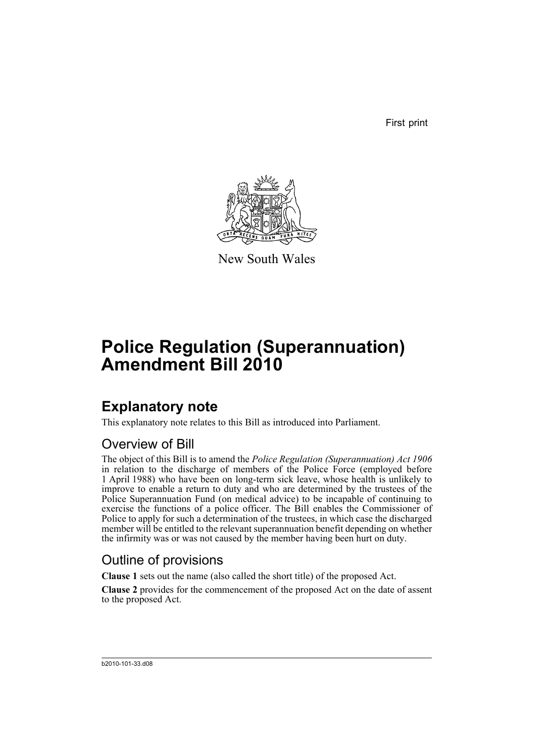First print



New South Wales

# **Police Regulation (Superannuation) Amendment Bill 2010**

## **Explanatory note**

This explanatory note relates to this Bill as introduced into Parliament.

### Overview of Bill

The object of this Bill is to amend the *Police Regulation (Superannuation) Act 1906* in relation to the discharge of members of the Police Force (employed before 1 April 1988) who have been on long-term sick leave, whose health is unlikely to improve to enable a return to duty and who are determined by the trustees of the Police Superannuation Fund (on medical advice) to be incapable of continuing to exercise the functions of a police officer. The Bill enables the Commissioner of Police to apply for such a determination of the trustees, in which case the discharged member will be entitled to the relevant superannuation benefit depending on whether the infirmity was or was not caused by the member having been hurt on duty.

## Outline of provisions

**Clause 1** sets out the name (also called the short title) of the proposed Act.

**Clause 2** provides for the commencement of the proposed Act on the date of assent to the proposed Act.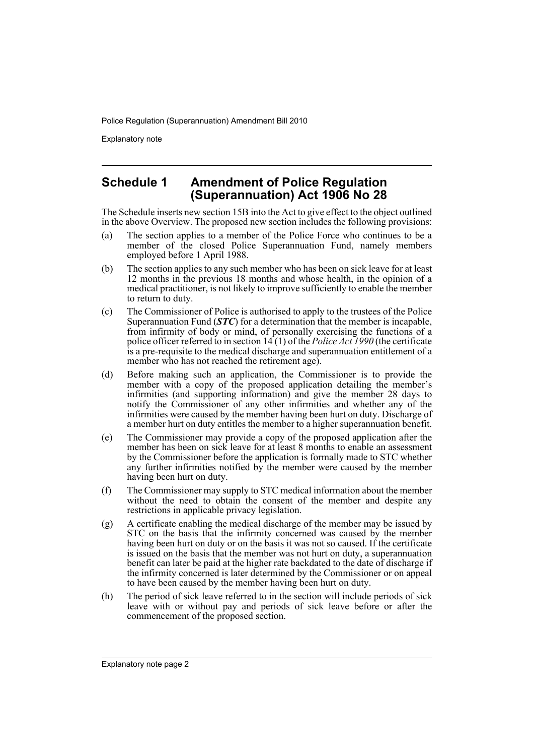Explanatory note

#### **Schedule 1 Amendment of Police Regulation (Superannuation) Act 1906 No 28**

The Schedule inserts new section 15B into the Act to give effect to the object outlined in the above Overview. The proposed new section includes the following provisions:

- (a) The section applies to a member of the Police Force who continues to be a member of the closed Police Superannuation Fund, namely members employed before 1 April 1988.
- (b) The section applies to any such member who has been on sick leave for at least 12 months in the previous 18 months and whose health, in the opinion of a medical practitioner, is not likely to improve sufficiently to enable the member to return to duty.
- (c) The Commissioner of Police is authorised to apply to the trustees of the Police Superannuation Fund (*STC*) for a determination that the member is incapable, from infirmity of body or mind, of personally exercising the functions of a police officer referred to in section 14 (1) of the *Police Act 1990* (the certificate is a pre-requisite to the medical discharge and superannuation entitlement of a member who has not reached the retirement age).
- (d) Before making such an application, the Commissioner is to provide the member with a copy of the proposed application detailing the member's infirmities (and supporting information) and give the member 28 days to notify the Commissioner of any other infirmities and whether any of the infirmities were caused by the member having been hurt on duty. Discharge of a member hurt on duty entitles the member to a higher superannuation benefit.
- (e) The Commissioner may provide a copy of the proposed application after the member has been on sick leave for at least 8 months to enable an assessment by the Commissioner before the application is formally made to STC whether any further infirmities notified by the member were caused by the member having been hurt on duty.
- (f) The Commissioner may supply to STC medical information about the member without the need to obtain the consent of the member and despite any restrictions in applicable privacy legislation.
- (g) A certificate enabling the medical discharge of the member may be issued by STC on the basis that the infirmity concerned was caused by the member having been hurt on duty or on the basis it was not so caused. If the certificate is issued on the basis that the member was not hurt on duty, a superannuation benefit can later be paid at the higher rate backdated to the date of discharge if the infirmity concerned is later determined by the Commissioner or on appeal to have been caused by the member having been hurt on duty.
- (h) The period of sick leave referred to in the section will include periods of sick leave with or without pay and periods of sick leave before or after the commencement of the proposed section.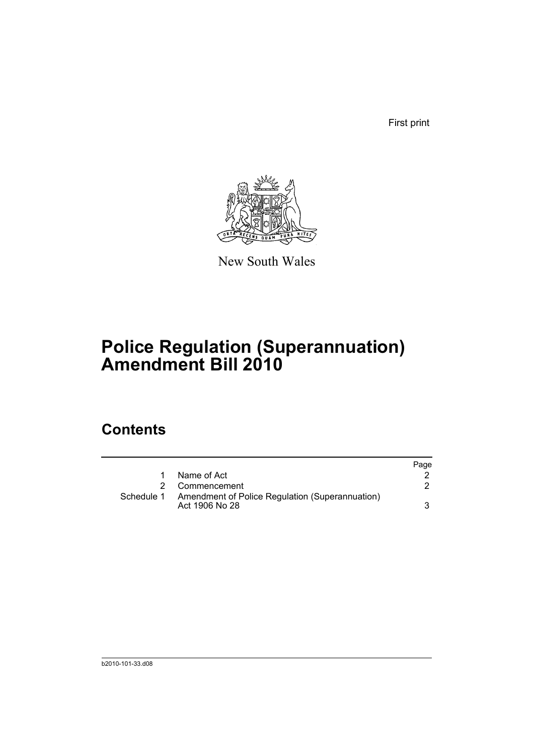First print



New South Wales

# **Police Regulation (Superannuation) Amendment Bill 2010**

## **Contents**

|            |                                                                   | Page |
|------------|-------------------------------------------------------------------|------|
|            | Name of Act                                                       |      |
| 2          | Commencement                                                      |      |
| Schedule 1 | Amendment of Police Regulation (Superannuation)<br>Act 1906 No 28 |      |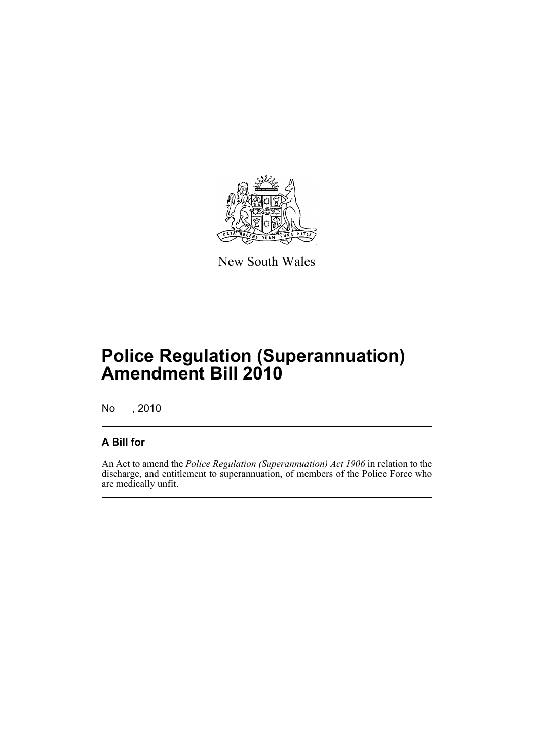

New South Wales

# **Police Regulation (Superannuation) Amendment Bill 2010**

No , 2010

#### **A Bill for**

An Act to amend the *Police Regulation (Superannuation) Act 1906* in relation to the discharge, and entitlement to superannuation, of members of the Police Force who are medically unfit.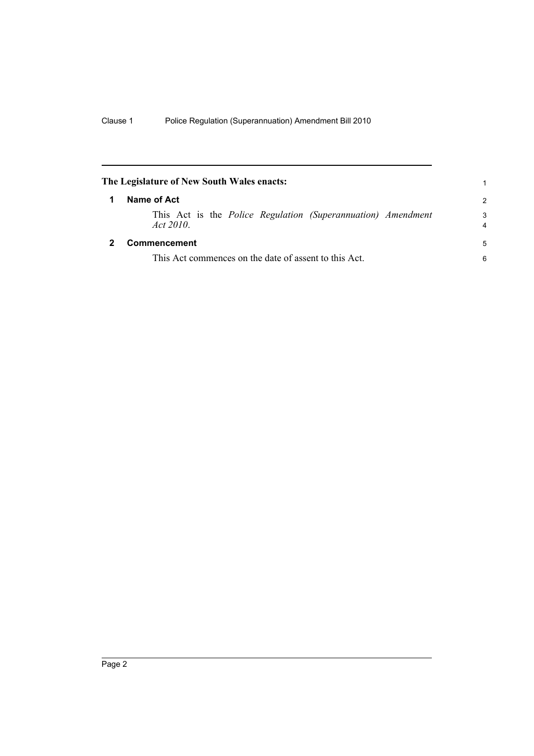<span id="page-5-1"></span><span id="page-5-0"></span>

| The Legislature of New South Wales enacts: |                                                                                 |               |
|--------------------------------------------|---------------------------------------------------------------------------------|---------------|
|                                            | Name of Act                                                                     | $\mathcal{P}$ |
|                                            | This Act is the <i>Police Regulation (Superannuation) Amendment</i><br>Act 2010 | 3<br>4        |
|                                            | Commencement                                                                    | 5             |
|                                            | This Act commences on the date of assent to this Act.                           | 6             |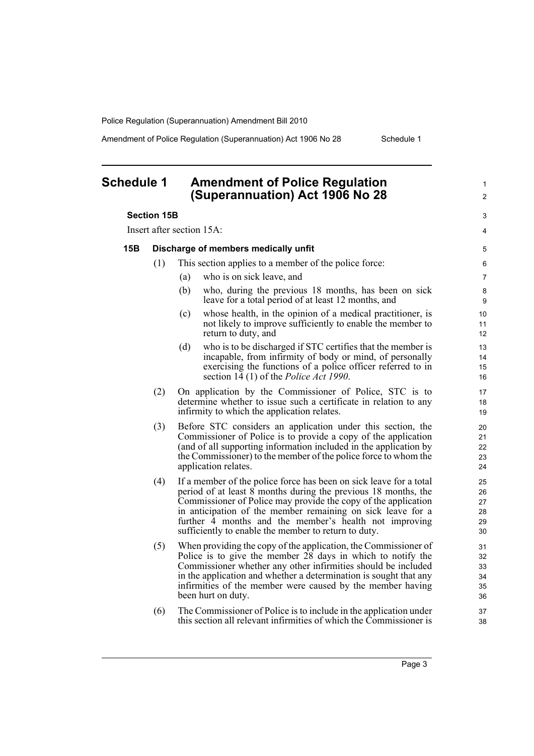Amendment of Police Regulation (Superannuation) Act 1906 No 28 Schedule 1

1  $\mathfrak{p}$ 

 $\overline{a}$ 4

### <span id="page-6-0"></span>**Schedule 1 Amendment of Police Regulation (Superannuation) Act 1906 No 28**

#### **Section 15B**

Insert after section 15A:

#### **15B Discharge of members medically unfit**

- (1) This section applies to a member of the police force:
	- (a) who is on sick leave, and
	- (b) who, during the previous 18 months, has been on sick leave for a total period of at least 12 months, and
	- (c) whose health, in the opinion of a medical practitioner, is not likely to improve sufficiently to enable the member to return to duty, and
	- (d) who is to be discharged if STC certifies that the member is incapable, from infirmity of body or mind, of personally exercising the functions of a police officer referred to in section 14 (1) of the *Police Act 1990*.
- (2) On application by the Commissioner of Police, STC is to determine whether to issue such a certificate in relation to any infirmity to which the application relates.
- (3) Before STC considers an application under this section, the Commissioner of Police is to provide a copy of the application (and of all supporting information included in the application by the Commissioner) to the member of the police force to whom the application relates.
- (4) If a member of the police force has been on sick leave for a total period of at least  $8$  months during the previous 18 months, the Commissioner of Police may provide the copy of the application in anticipation of the member remaining on sick leave for a further 4 months and the member's health not improving sufficiently to enable the member to return to duty.
- (5) When providing the copy of the application, the Commissioner of Police is to give the member 28 days in which to notify the Commissioner whether any other infirmities should be included in the application and whether a determination is sought that any infirmities of the member were caused by the member having been hurt on duty.
- (6) The Commissioner of Police is to include in the application under this section all relevant infirmities of which the Commissioner is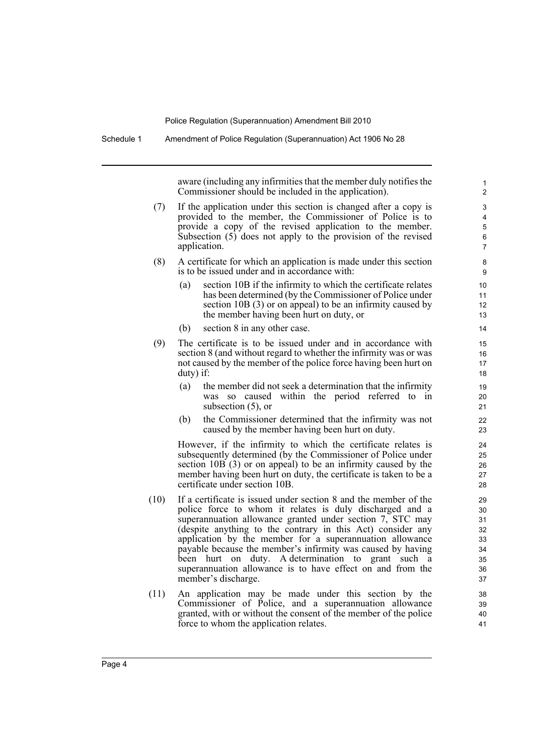Schedule 1 Amendment of Police Regulation (Superannuation) Act 1906 No 28

aware (including any infirmities that the member duly notifies the Commissioner should be included in the application).

- (7) If the application under this section is changed after a copy is provided to the member, the Commissioner of Police is to provide a copy of the revised application to the member. Subsection (5) does not apply to the provision of the revised application.
- (8) A certificate for which an application is made under this section is to be issued under and in accordance with:
	- (a) section 10B if the infirmity to which the certificate relates has been determined (by the Commissioner of Police under section 10B (3) or on appeal) to be an infirmity caused by the member having been hurt on duty, or
	- (b) section 8 in any other case.
- (9) The certificate is to be issued under and in accordance with section 8 (and without regard to whether the infirmity was or was not caused by the member of the police force having been hurt on duty) if:
	- (a) the member did not seek a determination that the infirmity was so caused within the period referred to in subsection (5), or
	- (b) the Commissioner determined that the infirmity was not caused by the member having been hurt on duty.

However, if the infirmity to which the certificate relates is subsequently determined (by the Commissioner of Police under section 10B (3) or on appeal) to be an infirmity caused by the member having been hurt on duty, the certificate is taken to be a certificate under section 10B.

- (10) If a certificate is issued under section 8 and the member of the police force to whom it relates is duly discharged and a superannuation allowance granted under section 7, STC may (despite anything to the contrary in this Act) consider any application by the member for a superannuation allowance payable because the member's infirmity was caused by having been hurt on duty. A determination to grant such a superannuation allowance is to have effect on and from the member's discharge.
- (11) An application may be made under this section by the Commissioner of Police, and a superannuation allowance granted, with or without the consent of the member of the police force to whom the application relates.